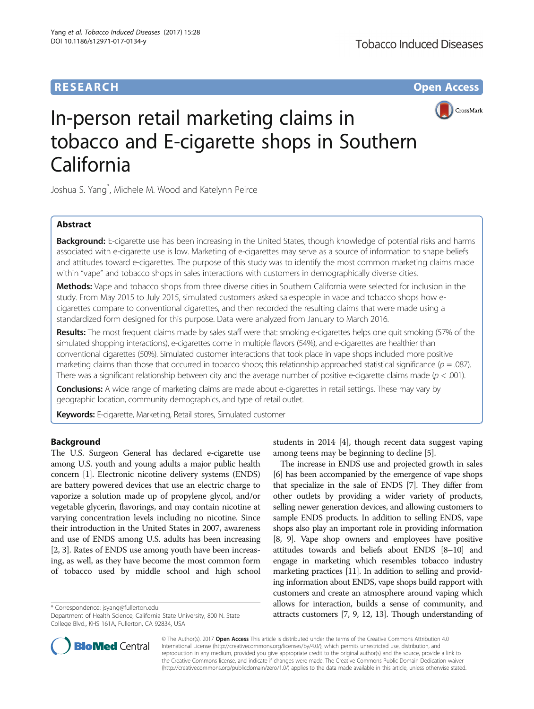# **RESEARCH CHE Open Access**



# In-person retail marketing claims in tobacco and E-cigarette shops in Southern California

Joshua S. Yang\* , Michele M. Wood and Katelynn Peirce

## Abstract

Background: E-cigarette use has been increasing in the United States, though knowledge of potential risks and harms associated with e-cigarette use is low. Marketing of e-cigarettes may serve as a source of information to shape beliefs and attitudes toward e-cigarettes. The purpose of this study was to identify the most common marketing claims made within "vape" and tobacco shops in sales interactions with customers in demographically diverse cities.

Methods: Vape and tobacco shops from three diverse cities in Southern California were selected for inclusion in the study. From May 2015 to July 2015, simulated customers asked salespeople in vape and tobacco shops how ecigarettes compare to conventional cigarettes, and then recorded the resulting claims that were made using a standardized form designed for this purpose. Data were analyzed from January to March 2016.

Results: The most frequent claims made by sales staff were that: smoking e-cigarettes helps one quit smoking (57% of the simulated shopping interactions), e-cigarettes come in multiple flavors (54%), and e-cigarettes are healthier than conventional cigarettes (50%). Simulated customer interactions that took place in vape shops included more positive marketing claims than those that occurred in tobacco shops; this relationship approached statistical significance ( $p = .087$ ). There was a significant relationship between city and the average number of positive e-cigarette claims made ( $p < .001$ ).

Conclusions: A wide range of marketing claims are made about e-cigarettes in retail settings. These may vary by geographic location, community demographics, and type of retail outlet.

Keywords: E-cigarette, Marketing, Retail stores, Simulated customer

## Background

The U.S. Surgeon General has declared e-cigarette use among U.S. youth and young adults a major public health concern [\[1\]](#page-6-0). Electronic nicotine delivery systems (ENDS) are battery powered devices that use an electric charge to vaporize a solution made up of propylene glycol, and/or vegetable glycerin, flavorings, and may contain nicotine at varying concentration levels including no nicotine. Since their introduction in the United States in 2007, awareness and use of ENDS among U.S. adults has been increasing [[2, 3](#page-6-0)]. Rates of ENDS use among youth have been increasing, as well, as they have become the most common form of tobacco used by middle school and high school



The increase in ENDS use and projected growth in sales [[6](#page-6-0)] has been accompanied by the emergence of vape shops that specialize in the sale of ENDS [\[7](#page-6-0)]. They differ from other outlets by providing a wider variety of products, selling newer generation devices, and allowing customers to sample ENDS products. In addition to selling ENDS, vape shops also play an important role in providing information [[8](#page-6-0), [9\]](#page-6-0). Vape shop owners and employees have positive attitudes towards and beliefs about ENDS [[8](#page-6-0)–[10\]](#page-6-0) and engage in marketing which resembles tobacco industry marketing practices [\[11\]](#page-6-0). In addition to selling and providing information about ENDS, vape shops build rapport with customers and create an atmosphere around vaping which allows for interaction, builds a sense of community, and \* Correspondence: [jsyang@fullerton.edu](mailto:jsyang@fullerton.edu)<br>Department of Health Science, California State University, 800 N. State **attracts customers [[7](#page-6-0), [9](#page-6-0), [12](#page-6-0), [13](#page-6-0)]. Though understanding of** 



© The Author(s). 2017 Open Access This article is distributed under the terms of the Creative Commons Attribution 4.0 International License [\(http://creativecommons.org/licenses/by/4.0/](http://creativecommons.org/licenses/by/4.0/)), which permits unrestricted use, distribution, and reproduction in any medium, provided you give appropriate credit to the original author(s) and the source, provide a link to the Creative Commons license, and indicate if changes were made. The Creative Commons Public Domain Dedication waiver [\(http://creativecommons.org/publicdomain/zero/1.0/](http://creativecommons.org/publicdomain/zero/1.0/)) applies to the data made available in this article, unless otherwise stated.

Department of Health Science, California State University, 800 N. State College Blvd., KHS 161A, Fullerton, CA 92834, USA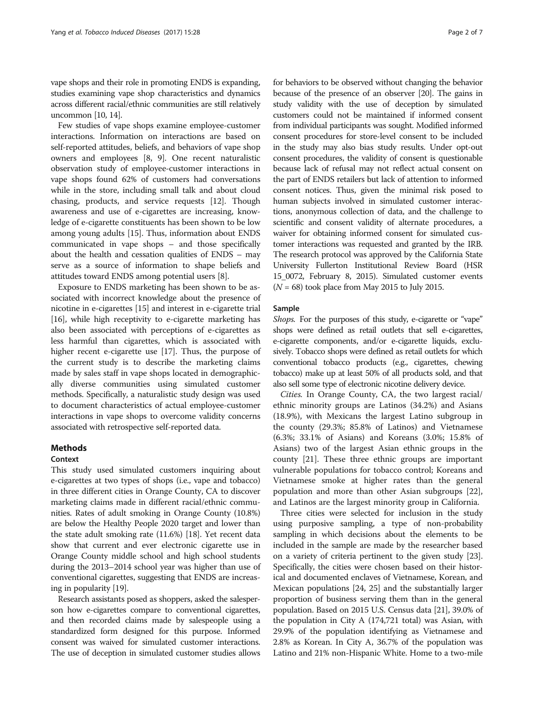vape shops and their role in promoting ENDS is expanding, studies examining vape shop characteristics and dynamics across different racial/ethnic communities are still relatively uncommon [\[10](#page-6-0), [14](#page-6-0)].

Few studies of vape shops examine employee-customer interactions. Information on interactions are based on self-reported attitudes, beliefs, and behaviors of vape shop owners and employees [\[8, 9\]](#page-6-0). One recent naturalistic observation study of employee-customer interactions in vape shops found 62% of customers had conversations while in the store, including small talk and about cloud chasing, products, and service requests [\[12](#page-6-0)]. Though awareness and use of e-cigarettes are increasing, knowledge of e-cigarette constituents has been shown to be low among young adults [\[15\]](#page-6-0). Thus, information about ENDS communicated in vape shops – and those specifically about the health and cessation qualities of ENDS – may serve as a source of information to shape beliefs and attitudes toward ENDS among potential users [[8\]](#page-6-0).

Exposure to ENDS marketing has been shown to be associated with incorrect knowledge about the presence of nicotine in e-cigarettes [[15](#page-6-0)] and interest in e-cigarette trial [[16](#page-6-0)], while high receptivity to e-cigarette marketing has also been associated with perceptions of e-cigarettes as less harmful than cigarettes, which is associated with higher recent e-cigarette use [[17\]](#page-6-0). Thus, the purpose of the current study is to describe the marketing claims made by sales staff in vape shops located in demographically diverse communities using simulated customer methods. Specifically, a naturalistic study design was used to document characteristics of actual employee-customer interactions in vape shops to overcome validity concerns associated with retrospective self-reported data.

### Methods

## **Context**

This study used simulated customers inquiring about e-cigarettes at two types of shops (i.e., vape and tobacco) in three different cities in Orange County, CA to discover marketing claims made in different racial/ethnic communities. Rates of adult smoking in Orange County (10.8%) are below the Healthy People 2020 target and lower than the state adult smoking rate (11.6%) [\[18\]](#page-6-0). Yet recent data show that current and ever electronic cigarette use in Orange County middle school and high school students during the 2013–2014 school year was higher than use of conventional cigarettes, suggesting that ENDS are increasing in popularity [[19](#page-6-0)].

Research assistants posed as shoppers, asked the salesperson how e-cigarettes compare to conventional cigarettes, and then recorded claims made by salespeople using a standardized form designed for this purpose. Informed consent was waived for simulated customer interactions. The use of deception in simulated customer studies allows for behaviors to be observed without changing the behavior because of the presence of an observer [\[20\]](#page-6-0). The gains in study validity with the use of deception by simulated customers could not be maintained if informed consent from individual participants was sought. Modified informed consent procedures for store-level consent to be included in the study may also bias study results. Under opt-out consent procedures, the validity of consent is questionable because lack of refusal may not reflect actual consent on the part of ENDS retailers but lack of attention to informed consent notices. Thus, given the minimal risk posed to human subjects involved in simulated customer interactions, anonymous collection of data, and the challenge to scientific and consent validity of alternate procedures, a waiver for obtaining informed consent for simulated customer interactions was requested and granted by the IRB. The research protocol was approved by the California State University Fullerton Institutional Review Board (HSR 15\_0072, February 8, 2015). Simulated customer events  $(N = 68)$  took place from May 2015 to July 2015.

## Sample

Shops. For the purposes of this study, e-cigarette or "vape" shops were defined as retail outlets that sell e-cigarettes, e-cigarette components, and/or e-cigarette liquids, exclusively. Tobacco shops were defined as retail outlets for which conventional tobacco products (e.g., cigarettes, chewing tobacco) make up at least 50% of all products sold, and that also sell some type of electronic nicotine delivery device.

Cities. In Orange County, CA, the two largest racial/ ethnic minority groups are Latinos (34.2%) and Asians (18.9%), with Mexicans the largest Latino subgroup in the county (29.3%; 85.8% of Latinos) and Vietnamese (6.3%; 33.1% of Asians) and Koreans (3.0%; 15.8% of Asians) two of the largest Asian ethnic groups in the county [[21\]](#page-6-0). These three ethnic groups are important vulnerable populations for tobacco control; Koreans and Vietnamese smoke at higher rates than the general population and more than other Asian subgroups [\[22](#page-6-0)], and Latinos are the largest minority group in California.

Three cities were selected for inclusion in the study using purposive sampling, a type of non-probability sampling in which decisions about the elements to be included in the sample are made by the researcher based on a variety of criteria pertinent to the given study [[23](#page-6-0)]. Specifically, the cities were chosen based on their historical and documented enclaves of Vietnamese, Korean, and Mexican populations [\[24, 25](#page-6-0)] and the substantially larger proportion of business serving them than in the general population. Based on 2015 U.S. Census data [\[21\]](#page-6-0), 39.0% of the population in City A (174,721 total) was Asian, with 29.9% of the population identifying as Vietnamese and 2.8% as Korean. In City A, 36.7% of the population was Latino and 21% non-Hispanic White. Home to a two-mile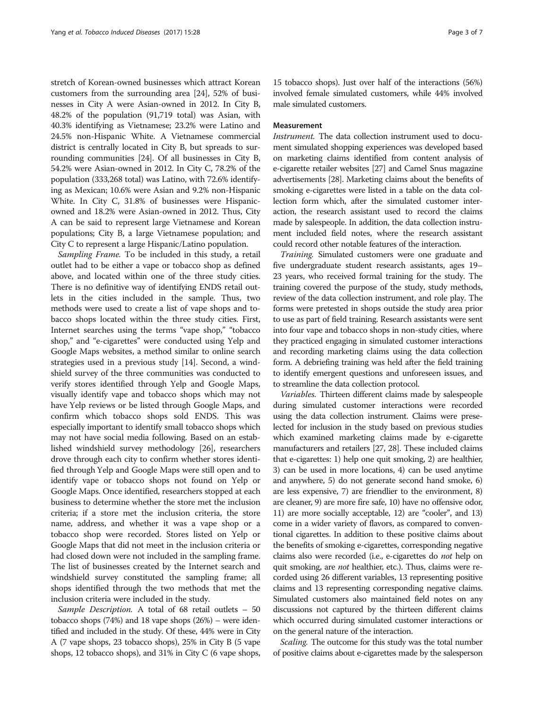stretch of Korean-owned businesses which attract Korean customers from the surrounding area [\[24\]](#page-6-0), 52% of businesses in City A were Asian-owned in 2012. In City B, 48.2% of the population (91,719 total) was Asian, with 40.3% identifying as Vietnamese; 23.2% were Latino and 24.5% non-Hispanic White. A Vietnamese commercial district is centrally located in City B, but spreads to surrounding communities [\[24\]](#page-6-0). Of all businesses in City B, 54.2% were Asian-owned in 2012. In City C, 78.2% of the population (333,268 total) was Latino, with 72.6% identifying as Mexican; 10.6% were Asian and 9.2% non-Hispanic White. In City C, 31.8% of businesses were Hispanicowned and 18.2% were Asian-owned in 2012. Thus, City A can be said to represent large Vietnamese and Korean populations; City B, a large Vietnamese population; and City C to represent a large Hispanic/Latino population.

Sampling Frame. To be included in this study, a retail outlet had to be either a vape or tobacco shop as defined above, and located within one of the three study cities. There is no definitive way of identifying ENDS retail outlets in the cities included in the sample. Thus, two methods were used to create a list of vape shops and tobacco shops located within the three study cities. First, Internet searches using the terms "vape shop," "tobacco shop," and "e-cigarettes" were conducted using Yelp and Google Maps websites, a method similar to online search strategies used in a previous study [[14](#page-6-0)]. Second, a windshield survey of the three communities was conducted to verify stores identified through Yelp and Google Maps, visually identify vape and tobacco shops which may not have Yelp reviews or be listed through Google Maps, and confirm which tobacco shops sold ENDS. This was especially important to identify small tobacco shops which may not have social media following. Based on an established windshield survey methodology [\[26](#page-6-0)], researchers drove through each city to confirm whether stores identified through Yelp and Google Maps were still open and to identify vape or tobacco shops not found on Yelp or Google Maps. Once identified, researchers stopped at each business to determine whether the store met the inclusion criteria; if a store met the inclusion criteria, the store name, address, and whether it was a vape shop or a tobacco shop were recorded. Stores listed on Yelp or Google Maps that did not meet in the inclusion criteria or had closed down were not included in the sampling frame. The list of businesses created by the Internet search and windshield survey constituted the sampling frame; all shops identified through the two methods that met the inclusion criteria were included in the study.

Sample Description. A total of 68 retail outlets – <sup>50</sup> tobacco shops (74%) and 18 vape shops (26%) – were identified and included in the study. Of these, 44% were in City A (7 vape shops, 23 tobacco shops), 25% in City B (5 vape shops, 12 tobacco shops), and 31% in City C (6 vape shops,

15 tobacco shops). Just over half of the interactions (56%) involved female simulated customers, while 44% involved male simulated customers.

## Measurement

Instrument. The data collection instrument used to document simulated shopping experiences was developed based on marketing claims identified from content analysis of e-cigarette retailer websites [\[27](#page-6-0)] and Camel Snus magazine advertisements [\[28](#page-6-0)]. Marketing claims about the benefits of smoking e-cigarettes were listed in a table on the data collection form which, after the simulated customer interaction, the research assistant used to record the claims made by salespeople. In addition, the data collection instrument included field notes, where the research assistant could record other notable features of the interaction.

Training. Simulated customers were one graduate and five undergraduate student research assistants, ages 19– 23 years, who received formal training for the study. The training covered the purpose of the study, study methods, review of the data collection instrument, and role play. The forms were pretested in shops outside the study area prior to use as part of field training. Research assistants were sent into four vape and tobacco shops in non-study cities, where they practiced engaging in simulated customer interactions and recording marketing claims using the data collection form. A debriefing training was held after the field training to identify emergent questions and unforeseen issues, and to streamline the data collection protocol.

Variables. Thirteen different claims made by salespeople during simulated customer interactions were recorded using the data collection instrument. Claims were preselected for inclusion in the study based on previous studies which examined marketing claims made by e-cigarette manufacturers and retailers [[27](#page-6-0), [28\]](#page-6-0). These included claims that e-cigarettes: 1) help one quit smoking, 2) are healthier, 3) can be used in more locations, 4) can be used anytime and anywhere, 5) do not generate second hand smoke, 6) are less expensive, 7) are friendlier to the environment, 8) are cleaner, 9) are more fire safe, 10) have no offensive odor, 11) are more socially acceptable, 12) are "cooler", and 13) come in a wider variety of flavors, as compared to conventional cigarettes. In addition to these positive claims about the benefits of smoking e-cigarettes, corresponding negative claims also were recorded (i.e., e-cigarettes do not help on quit smoking, are *not* healthier, etc.). Thus, claims were recorded using 26 different variables, 13 representing positive claims and 13 representing corresponding negative claims. Simulated customers also maintained field notes on any discussions not captured by the thirteen different claims which occurred during simulated customer interactions or on the general nature of the interaction.

Scaling. The outcome for this study was the total number of positive claims about e-cigarettes made by the salesperson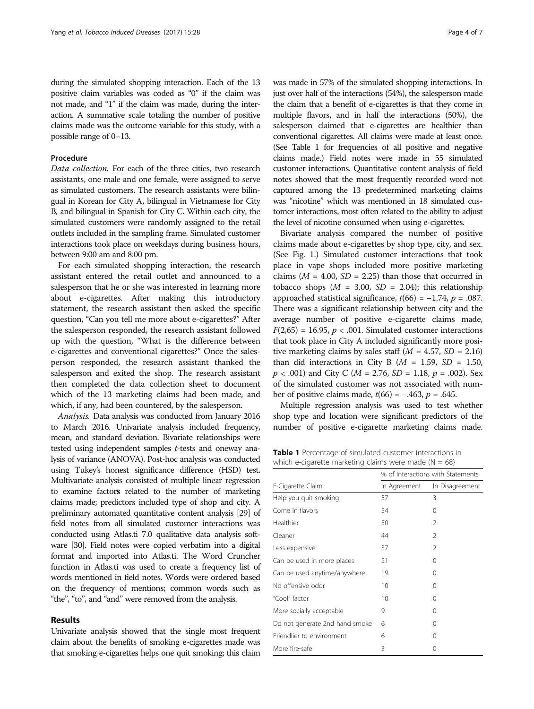during the simulated shopping interaction. Each of the 13 positive claim variables was coded as "0" if the claim was not made, and "1" if the claim was made, during the interaction. A summative scale totaling the number of positive claims made was the outcome variable for this study, with a possible range of 0–13.

## Procedure

Data collection. For each of the three cities, two research assistants, one male and one female, were assigned to serve as simulated customers. The research assistants were bilingual in Korean for City A, bilingual in Vietnamese for City B, and bilingual in Spanish for City C. Within each city, the simulated customers were randomly assigned to the retail outlets included in the sampling frame. Simulated customer interactions took place on weekdays during business hours, between 9:00 am and 8:00 pm.

For each simulated shopping interaction, the research assistant entered the retail outlet and announced to a salesperson that he or she was interested in learning more about e-cigarettes. After making this introductory statement, the research assistant then asked the specific question, "Can you tell me more about e-cigarettes?" After the salesperson responded, the research assistant followed up with the question, "What is the difference between e-cigarettes and conventional cigarettes?" Once the salesperson responded, the research assistant thanked the salesperson and exited the shop. The research assistant then completed the data collection sheet to document which of the 13 marketing claims had been made, and which, if any, had been countered, by the salesperson.

Analysis. Data analysis was conducted from January 2016 to March 2016. Univariate analysis included frequency, mean, and standard deviation. Bivariate relationships were tested using independent samples t-tests and oneway analysis of variance (ANOVA). Post-hoc analysis was conducted using Tukey's honest significance difference (HSD) test. Multivariate analysis consisted of multiple linear regression to examine factors related to the number of marketing claims made; predictors included type of shop and city. A preliminary automated quantitative content analysis [\[29](#page-6-0)] of field notes from all simulated customer interactions was conducted using Atlas.ti 7.0 qualitative data analysis software [\[30\]](#page-6-0). Field notes were copied verbatim into a digital format and imported into Atlas.ti. The Word Cruncher function in Atlas.ti was used to create a frequency list of words mentioned in field notes. Words were ordered based on the frequency of mentions; common words such as "the", "to", and "and" were removed from the analysis.

## Results

Univariate analysis showed that the single most frequent claim about the benefits of smoking e-cigarettes made was that smoking e-cigarettes helps one quit smoking; this claim was made in 57% of the simulated shopping interactions. In just over half of the interactions (54%), the salesperson made the claim that a benefit of e-cigarettes is that they come in multiple flavors, and in half the interactions (50%), the salesperson claimed that e-cigarettes are healthier than conventional cigarettes. All claims were made at least once. (See Table 1 for frequencies of all positive and negative claims made.) Field notes were made in 55 simulated customer interactions. Quantitative content analysis of field notes showed that the most frequently recorded word not captured among the 13 predetermined marketing claims was "nicotine" which was mentioned in 18 simulated customer interactions, most often related to the ability to adjust the level of nicotine consumed when using e-cigarettes.

Bivariate analysis compared the number of positive claims made about e-cigarettes by shop type, city, and sex. (See Fig. [1](#page-4-0).) Simulated customer interactions that took place in vape shops included more positive marketing claims ( $M = 4.00$ ,  $SD = 2.25$ ) than those that occurred in tobacco shops  $(M = 3.00, SD = 2.04)$ ; this relationship approached statistical significance,  $t(66) = −1.74$ ,  $p = .087$ . There was a significant relationship between city and the average number of positive e-cigarette claims made,  $F(2,65) = 16.95, p < .001$ . Simulated customer interactions that took place in City A included significantly more positive marketing claims by sales staff  $(M = 4.57, SD = 2.16)$ than did interactions in City B ( $M = 1.59$ ,  $SD = 1.50$ ,  $p < .001$ ) and City C ( $M = 2.76$ ,  $SD = 1.18$ ,  $p = .002$ ). Sex of the simulated customer was not associated with number of positive claims made,  $t(66) = -.463$ ,  $p = .645$ .

Multiple regression analysis was used to test whether shop type and location were significant predictors of the number of positive e-cigarette marketing claims made.

Table 1 Percentage of simulated customer interactions in which e-cigarette marketing claims were made ( $N = 68$ )

|                                | % of Interactions with Statements |                 |  |
|--------------------------------|-----------------------------------|-----------------|--|
| E-Cigarette Claim              | In Agreement                      | In Disagreement |  |
| Help you quit smoking          | 57                                | 3               |  |
| Come in flavors                | 54                                | 0               |  |
| Healthier                      | 50                                | $\mathcal{P}$   |  |
| Cleaner                        | 44                                | 2               |  |
| Less expensive                 | 37                                | 2               |  |
| Can be used in more places     | 21                                | Ω               |  |
| Can be used anytime/anywhere   | 19                                | 0               |  |
| No offensive odor              | 10                                | Ω               |  |
| "Cool" factor                  | 10                                | 0               |  |
| More socially acceptable       | 9                                 | 0               |  |
| Do not generate 2nd hand smoke | 6                                 | 0               |  |
| Friendlier to environment      | 6                                 | 0               |  |
| More fire-safe                 | 3                                 | 0               |  |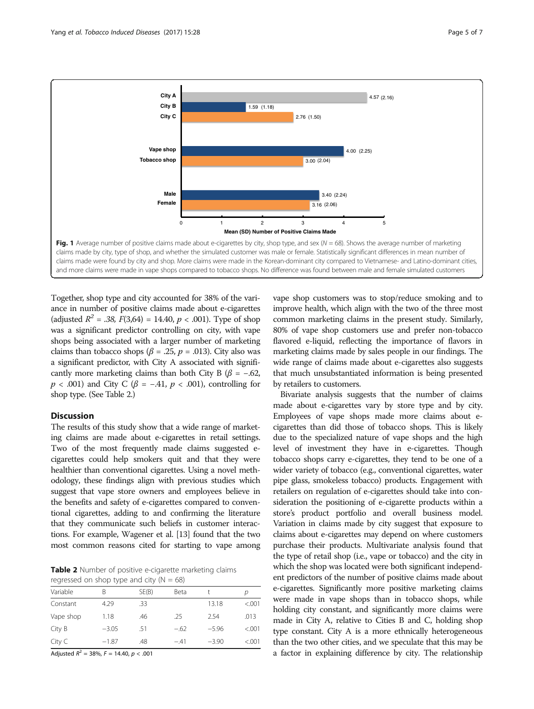<span id="page-4-0"></span>

Together, shop type and city accounted for 38% of the variance in number of positive claims made about e-cigarettes (adjusted  $R^2 = .38$ ,  $F(3,64) = 14.40$ ,  $p < .001$ ). Type of shop was a significant predictor controlling on city, with vape shops being associated with a larger number of marketing claims than tobacco shops ( $\beta$  = .25,  $p$  = .013). City also was a significant predictor, with City A associated with significantly more marketing claims than both City B ( $\beta$  = -.62,  $p < .001$ ) and City C ( $\beta = -.41, p < .001$ ), controlling for shop type. (See Table 2.)

## **Discussion**

The results of this study show that a wide range of marketing claims are made about e-cigarettes in retail settings. Two of the most frequently made claims suggested ecigarettes could help smokers quit and that they were healthier than conventional cigarettes. Using a novel methodology, these findings align with previous studies which suggest that vape store owners and employees believe in the benefits and safety of e-cigarettes compared to conventional cigarettes, adding to and confirming the literature that they communicate such beliefs in customer interactions. For example, Wagener et al. [[13](#page-6-0)] found that the two most common reasons cited for starting to vape among

Table 2 Number of positive e-cigarette marketing claims regressed on shop type and city  $(N = 68)$ 

| Variable  | В       | SE(B) | Beta   |         | n       |
|-----------|---------|-------|--------|---------|---------|
| Constant  | 4.29    | .33   |        | 13.18   | < 0.001 |
| Vape shop | 1.18    | .46   | .25    | 2.54    | .013    |
| City B    | $-3.05$ | .51   | $-.62$ | $-5.96$ | < 0.001 |
| City C    | $-1.87$ | .48   | $-41$  | $-3.90$ | < 0.001 |
|           |         |       |        |         |         |

Adjusted  $R^2 = 38\%$ ,  $F = 14.40$ ,  $p < .001$ 

vape shop customers was to stop/reduce smoking and to improve health, which align with the two of the three most common marketing claims in the present study. Similarly, 80% of vape shop customers use and prefer non-tobacco flavored e-liquid, reflecting the importance of flavors in marketing claims made by sales people in our findings. The wide range of claims made about e-cigarettes also suggests that much unsubstantiated information is being presented by retailers to customers.

Bivariate analysis suggests that the number of claims made about e-cigarettes vary by store type and by city. Employees of vape shops made more claims about ecigarettes than did those of tobacco shops. This is likely due to the specialized nature of vape shops and the high level of investment they have in e-cigarettes. Though tobacco shops carry e-cigarettes, they tend to be one of a wider variety of tobacco (e.g., conventional cigarettes, water pipe glass, smokeless tobacco) products. Engagement with retailers on regulation of e-cigarettes should take into consideration the positioning of e-cigarette products within a store's product portfolio and overall business model. Variation in claims made by city suggest that exposure to claims about e-cigarettes may depend on where customers purchase their products. Multivariate analysis found that the type of retail shop (i.e., vape or tobacco) and the city in which the shop was located were both significant independent predictors of the number of positive claims made about e-cigarettes. Significantly more positive marketing claims were made in vape shops than in tobacco shops, while holding city constant, and significantly more claims were made in City A, relative to Cities B and C, holding shop type constant. City A is a more ethnically heterogeneous than the two other cities, and we speculate that this may be a factor in explaining difference by city. The relationship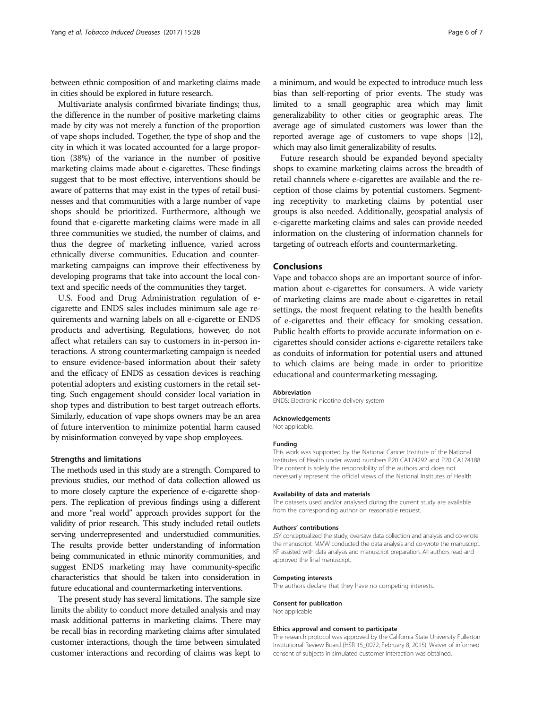between ethnic composition of and marketing claims made in cities should be explored in future research.

Multivariate analysis confirmed bivariate findings; thus, the difference in the number of positive marketing claims made by city was not merely a function of the proportion of vape shops included. Together, the type of shop and the city in which it was located accounted for a large proportion (38%) of the variance in the number of positive marketing claims made about e-cigarettes. These findings suggest that to be most effective, interventions should be aware of patterns that may exist in the types of retail businesses and that communities with a large number of vape shops should be prioritized. Furthermore, although we found that e-cigarette marketing claims were made in all three communities we studied, the number of claims, and thus the degree of marketing influence, varied across ethnically diverse communities. Education and countermarketing campaigns can improve their effectiveness by developing programs that take into account the local context and specific needs of the communities they target.

U.S. Food and Drug Administration regulation of ecigarette and ENDS sales includes minimum sale age requirements and warning labels on all e-cigarette or ENDS products and advertising. Regulations, however, do not affect what retailers can say to customers in in-person interactions. A strong countermarketing campaign is needed to ensure evidence-based information about their safety and the efficacy of ENDS as cessation devices is reaching potential adopters and existing customers in the retail setting. Such engagement should consider local variation in shop types and distribution to best target outreach efforts. Similarly, education of vape shops owners may be an area of future intervention to minimize potential harm caused by misinformation conveyed by vape shop employees.

## Strengths and limitations

The methods used in this study are a strength. Compared to previous studies, our method of data collection allowed us to more closely capture the experience of e-cigarette shoppers. The replication of previous findings using a different and more "real world" approach provides support for the validity of prior research. This study included retail outlets serving underrepresented and understudied communities. The results provide better understanding of information being communicated in ethnic minority communities, and suggest ENDS marketing may have community-specific characteristics that should be taken into consideration in future educational and countermarketing interventions.

The present study has several limitations. The sample size limits the ability to conduct more detailed analysis and may mask additional patterns in marketing claims. There may be recall bias in recording marketing claims after simulated customer interactions, though the time between simulated customer interactions and recording of claims was kept to a minimum, and would be expected to introduce much less bias than self-reporting of prior events. The study was limited to a small geographic area which may limit generalizability to other cities or geographic areas. The average age of simulated customers was lower than the reported average age of customers to vape shops [\[12](#page-6-0)], which may also limit generalizability of results.

Future research should be expanded beyond specialty shops to examine marketing claims across the breadth of retail channels where e-cigarettes are available and the reception of those claims by potential customers. Segmenting receptivity to marketing claims by potential user groups is also needed. Additionally, geospatial analysis of e-cigarette marketing claims and sales can provide needed information on the clustering of information channels for targeting of outreach efforts and countermarketing.

## Conclusions

Vape and tobacco shops are an important source of information about e-cigarettes for consumers. A wide variety of marketing claims are made about e-cigarettes in retail settings, the most frequent relating to the health benefits of e-cigarettes and their efficacy for smoking cessation. Public health efforts to provide accurate information on ecigarettes should consider actions e-cigarette retailers take as conduits of information for potential users and attuned to which claims are being made in order to prioritize educational and countermarketing messaging.

#### Abbreviation

ENDS: Electronic nicotine delivery system

#### Acknowledgements

Not applicable.

#### Funding

This work was supported by the National Cancer Institute of the National Institutes of Health under award numbers P20 CA174292 and P20 CA174188. The content is solely the responsibility of the authors and does not necessarily represent the official views of the National Institutes of Health.

#### Availability of data and materials

The datasets used and/or analysed during the current study are available from the corresponding author on reasonable request.

#### Authors' contributions

JSY conceptualized the study, oversaw data collection and analysis and co-wrote the manuscript. MMW conducted the data analysis and co-wrote the manuscript. KP assisted with data analysis and manuscript preparation. All authors read and approved the final manuscript.

#### Competing interests

The authors declare that they have no competing interests.

#### Consent for publication

Not applicable

#### Ethics approval and consent to participate

The research protocol was approved by the California State University Fullerton Institutional Review Board (HSR 15\_0072, February 8, 2015). Waiver of informed consent of subjects in simulated customer interaction was obtained.